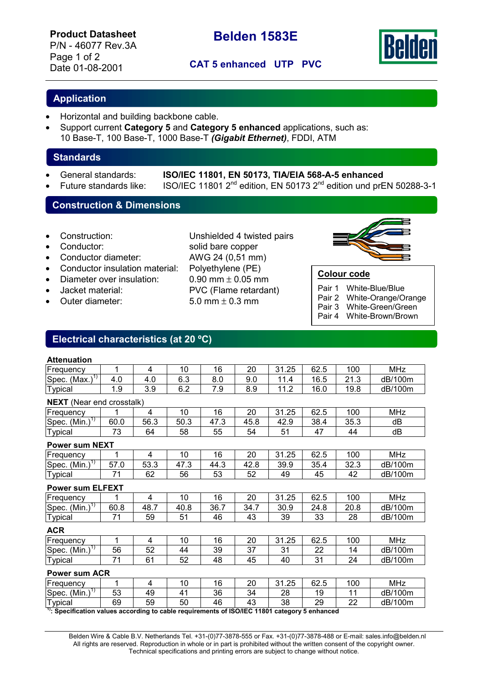P/N - 46077 Rev.3A Page 1 of 2



## Date 01-08-2001 **CAT 5 enhanced UTP PVC**

## **Application**

- Horizontal and building backbone cable.
- Support current **Category 5** and **Category 5 enhanced** applications, such as: 10 Base-T, 100 Base-T, 1000 Base-T *(Gigabit Ethernet)*, FDDI, ATM

## **Standards**

- - General standards: **ISO/IEC 11801, EN 50173, TIA/EIA 568-A-5 enhanced**
	- Future standards like: ISO/IEC 11801 2nd edition, EN 50173 2nd edition und prEN 50288-3-1

## **Construction & Dimensions**

- 
- 
- Conductor diameter: AWG 24 (0,51 mm)
- Conductor insulation material: Polyethylene (PE)
- Diameter over insulation:  $0.90 \text{ mm} \pm 0.05 \text{ mm}$
- 
- 

• Construction: Unshielded 4 twisted pairs **Conductor:** Solid bare copper • Jacket material: PVC (Flame retardant) Outer diameter:  $5.0 \text{ mm} \pm 0.3 \text{ mm}$ 



## **Colour code**

Pair 1 White-Blue/Blue

- Pair 2 White-Orange/Orange
- Pair 3 White-Green/Green
- Pair 4 White-Brown/Brown

## **Electrical characteristics (at 20 ºC)**

### **Attenuation**

| .                                 |     |            |     |     |            |                              |      |                            |            |
|-----------------------------------|-----|------------|-----|-----|------------|------------------------------|------|----------------------------|------------|
| Frequency                         |     |            | 10  | 16  | 20         | .25<br>31                    | 62.5 | 100                        | <b>MHz</b> |
| (Max.<br>Spec.                    | 4.0 | 4.0        | 6.3 | 8.0 | 9.0        | 11                           | 16.5 | $\mathbf{A}$<br>ົ<br>ں. اے | dB/100m    |
| Typical                           | 1.9 | 3 O<br>ບ.ບ | 6.2 | 7.9 | R O<br>ຽ.∀ | $\sim$<br>44<br>. . <u>.</u> | 16.0 | 19.8                       | dB/100m    |
| <b>AID AFTER 18 1</b><br>$\cdots$ |     |            |     |     |            |                              |      |                            |            |

| <b>NEXT</b> (Near end crosstalk)                                                                                                                                                                                                                                                                                                                |      |      |      |      |      |       |      |      |            |
|-------------------------------------------------------------------------------------------------------------------------------------------------------------------------------------------------------------------------------------------------------------------------------------------------------------------------------------------------|------|------|------|------|------|-------|------|------|------------|
| Frequency                                                                                                                                                                                                                                                                                                                                       |      | 4    | 10   | 16   | 20   | 31.25 | 62.5 | 100  | MHz        |
| Spec. $(\overline{\text{Min.}})^{1}$                                                                                                                                                                                                                                                                                                            | 60.0 | 56.3 | 50.3 | 47.3 | 45.8 | 42.9  | 38.4 | 35.3 | dB         |
| <b>Typical</b>                                                                                                                                                                                                                                                                                                                                  | 73   | 64   | 58   | 55   | 54   | 51    | 47   | 44   | dB         |
| <b>Power sum NEXT</b>                                                                                                                                                                                                                                                                                                                           |      |      |      |      |      |       |      |      |            |
| Frequency                                                                                                                                                                                                                                                                                                                                       | 1    | 4    | 10   | 16   | 20   | 31.25 | 62.5 | 100  | <b>MHz</b> |
| Spec. $(\overline{\text{Min.}})^{1}$                                                                                                                                                                                                                                                                                                            | 57.0 | 53.3 | 47.3 | 44.3 | 42.8 | 39.9  | 35.4 | 32.3 | dB/100m    |
| Typical                                                                                                                                                                                                                                                                                                                                         | 71   | 62   | 56   | 53   | 52   | 49    | 45   | 42   | dB/100m    |
| <b>Power sum ELFEXT</b>                                                                                                                                                                                                                                                                                                                         |      |      |      |      |      |       |      |      |            |
| Frequency                                                                                                                                                                                                                                                                                                                                       |      | 4    | 10   | 16   | 20   | 31.25 | 62.5 | 100  | <b>MHz</b> |
| Spec. $(Min.)17$                                                                                                                                                                                                                                                                                                                                | 60.8 | 48.7 | 40.8 | 36.7 | 34.7 | 30.9  | 24.8 | 20.8 | dB/100m    |
| <b>Typical</b>                                                                                                                                                                                                                                                                                                                                  | 71   | 59   | 51   | 46   | 43   | 39    | 33   | 28   | dB/100m    |
| <b>ACR</b>                                                                                                                                                                                                                                                                                                                                      |      |      |      |      |      |       |      |      |            |
| Frequency                                                                                                                                                                                                                                                                                                                                       | 1    | 4    | 10   | 16   | 20   | 31.25 | 62.5 | 100  | <b>MHz</b> |
| Spec. $(Min.)1$                                                                                                                                                                                                                                                                                                                                 | 56   | 52   | 44   | 39   | 37   | 31    | 22   | 14   | dB/100m    |
| <b>Typical</b>                                                                                                                                                                                                                                                                                                                                  | 71   | 61   | 52   | 48   | 45   | 40    | 31   | 24   | dB/100m    |
| <b>Power sum ACR</b>                                                                                                                                                                                                                                                                                                                            |      |      |      |      |      |       |      |      |            |
| Frequency                                                                                                                                                                                                                                                                                                                                       | 1    | 4    | 10   | 16   | 20   | 31.25 | 62.5 | 100  | <b>MHz</b> |
| Spec. $(\overline{\text{Min.}})^{1}$                                                                                                                                                                                                                                                                                                            | 53   | 49   | 41   | 36   | 34   | 28    | 19   | 11   | dB/100m    |
| <b>Typical</b>                                                                                                                                                                                                                                                                                                                                  | 69   | 59   | 50   | 46   | 43   | 38    | 29   | 22   | dB/100m    |
| $\frac{1}{2}$ $\frac{1}{2}$ $\frac{1}{2}$ $\frac{1}{2}$ $\frac{1}{2}$ $\frac{1}{2}$ $\frac{1}{2}$ $\frac{1}{2}$ $\frac{1}{2}$ $\frac{1}{2}$ $\frac{1}{2}$ $\frac{1}{2}$ $\frac{1}{2}$ $\frac{1}{2}$ $\frac{1}{2}$ $\frac{1}{2}$ $\frac{1}{2}$ $\frac{1}{2}$ $\frac{1}{2}$ $\frac{1}{2}$ $\frac{1}{2}$ $\frac{1}{2}$<br>$\mathbf{r}$<br>.<br>- - |      |      |      |      |      |       |      |      |            |

**1): Specification values according to cable requirements of ISO/IEC 11801 category 5 enhanced**

 Belden Wire & Cable B.V. Netherlands Tel. +31-(0)77-3878-555 or Fax. +31-(0)77-3878-488 or E-mail: sales.info@belden.nl All rights are reserved. Reproduction in whole or in part is prohibited without the written consent of the copyright owner. Technical specifications and printing errors are subject to change without notice.